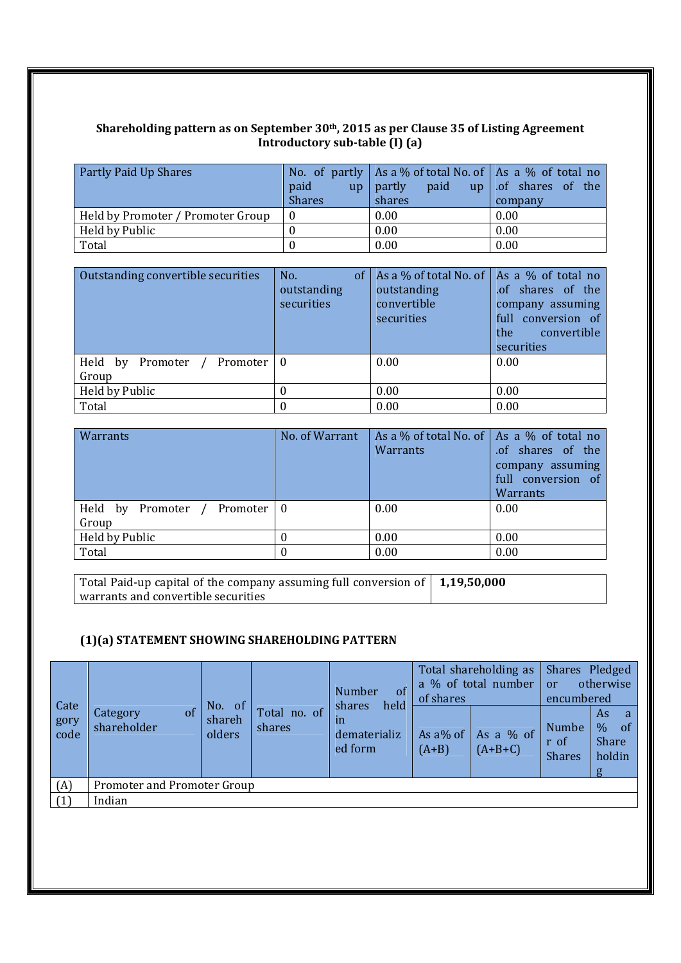#### **Shareholding pattern as on September 30th, 2015 as per Clause 35 of Listing Agreement Introductory sub‐table (I) (a)**

| <b>Partly Paid Up Shares</b>      |               | No. of partly   As a % of total No. of   As a % of total no |                  |
|-----------------------------------|---------------|-------------------------------------------------------------|------------------|
|                                   | paid<br>up    | partly<br>paid<br>up                                        | of shares of the |
|                                   | <b>Shares</b> | shares                                                      | company          |
| Held by Promoter / Promoter Group |               | 0.00                                                        | 0.00             |
| Held by Public                    |               | 0.00                                                        | 0.00             |
| Total                             |               | 0.00                                                        | 0.00             |

| Outstanding convertible securities      | No.<br><sub>of</sub><br>outstanding<br>securities | As a % of total No. of $\vert$ As a % of total no<br>outstanding<br>convertible<br>securities | of shares of the<br>company assuming<br>full conversion of<br>convertible<br>the<br>securities |  |
|-----------------------------------------|---------------------------------------------------|-----------------------------------------------------------------------------------------------|------------------------------------------------------------------------------------------------|--|
| Held by Promoter<br>Promoter 1<br>Group | -0                                                | 0.00                                                                                          | 0.00                                                                                           |  |
| Held by Public                          |                                                   | 0.00                                                                                          | 0.00                                                                                           |  |
| Total                                   |                                                   | 0.00                                                                                          | 0.00                                                                                           |  |

| Warrants                                 | No. of Warrant | As a % of total No. of $\vert$ As a % of total no<br><b>Warrants</b> | of shares of the<br>company assuming<br>full conversion of<br>Warrants |
|------------------------------------------|----------------|----------------------------------------------------------------------|------------------------------------------------------------------------|
| Held by<br>Promoter<br>Promoter<br>Group | - 0            | 0.00                                                                 | 0.00                                                                   |
| Held by Public                           |                | 0.00                                                                 | 0.00                                                                   |
| Total                                    |                | 0.00                                                                 | 0.00                                                                   |

| Total Paid-up capital of the company assuming full conversion of $\mid 1,19,50,000$ |  |
|-------------------------------------------------------------------------------------|--|
| warrants and convertible securities                                                 |  |

## **(1)(a) STATEMENT SHOWING SHAREHOLDING PATTERN**

|                      |                               |                            |                        | of<br>Number                                    | of shares           | Total shareholding as<br>a % of total number | Shares Pledged<br>or<br>encumbered | otherwise                                                                    |
|----------------------|-------------------------------|----------------------------|------------------------|-------------------------------------------------|---------------------|----------------------------------------------|------------------------------------|------------------------------------------------------------------------------|
| Cate<br>gory<br>code | of<br>Category<br>shareholder | No. of<br>shareh<br>olders | Total no. of<br>shares | held<br>shares<br>ın<br>dematerializ<br>ed form | As a% of<br>$(A+B)$ | As a % of<br>$(A+B+C)$                       | Numbe<br>r of<br><b>Shares</b>     | As<br><sub>a</sub><br>$\frac{0}{0}$<br><sub>of</sub><br>Share<br>holdin<br>g |
| (A)                  | Promoter and Promoter Group   |                            |                        |                                                 |                     |                                              |                                    |                                                                              |
| (1)                  | Indian                        |                            |                        |                                                 |                     |                                              |                                    |                                                                              |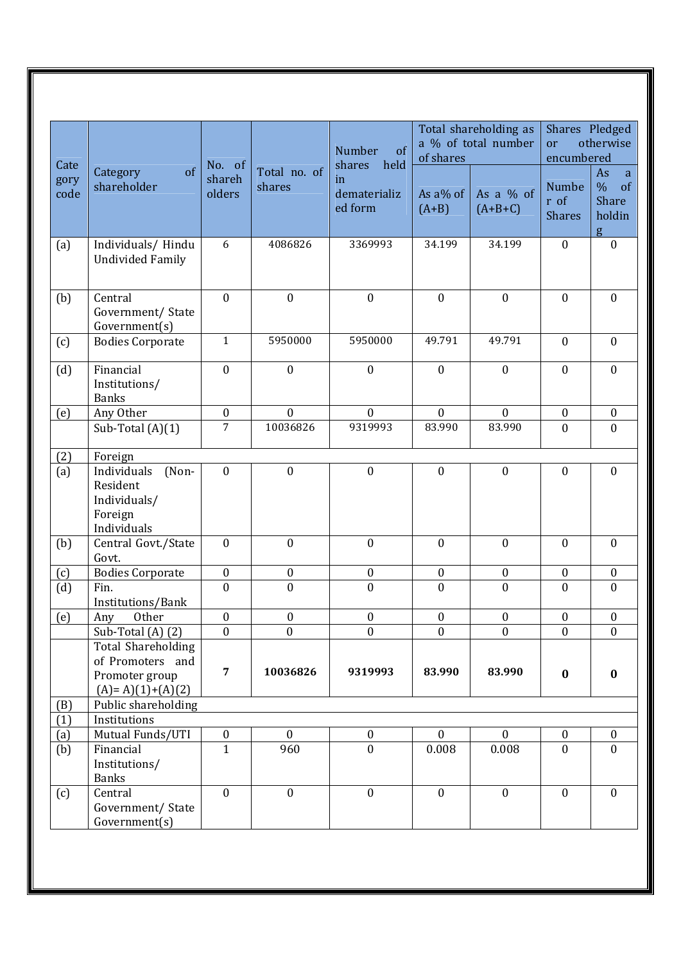| Cate         |                                                                            | No. of           |                        | $\sigma$<br><b>Number</b><br>held<br>shares | of shares           | Total shareholding as<br>a % of total number | Shares Pledged<br>or<br>encumbered    | otherwise                                                  |
|--------------|----------------------------------------------------------------------------|------------------|------------------------|---------------------------------------------|---------------------|----------------------------------------------|---------------------------------------|------------------------------------------------------------|
| gory<br>code | of<br>Category<br>shareholder                                              | shareh<br>olders | Total no. of<br>shares | in<br>dematerializ<br>ed form               | As a% of<br>$(A+B)$ | As a $%$ of<br>$(A+B+C)$                     | <b>Numbe</b><br>r of<br><b>Shares</b> | As<br>a<br>$\%$<br>$\sigma$<br><b>Share</b><br>holdin<br>g |
| (a)          | Individuals/ Hindu<br><b>Undivided Family</b>                              | 6                | 4086826                | 3369993                                     | 34.199              | 34.199                                       | $\mathbf{0}$                          | $\boldsymbol{0}$                                           |
| (b)          | Central<br>Government/ State<br>Government(s)                              | $\boldsymbol{0}$ | $\boldsymbol{0}$       | $\boldsymbol{0}$                            | $\boldsymbol{0}$    | $\boldsymbol{0}$                             | $\boldsymbol{0}$                      | $\mathbf{0}$                                               |
| (c)          | <b>Bodies Corporate</b>                                                    | $\mathbf{1}$     | 5950000                | 5950000                                     | 49.791              | 49.791                                       | $\mathbf{0}$                          | $\mathbf{0}$                                               |
| (d)          | Financial<br>Institutions/<br><b>Banks</b>                                 | $\boldsymbol{0}$ | $\boldsymbol{0}$       | $\boldsymbol{0}$                            | $\boldsymbol{0}$    | $\boldsymbol{0}$                             | $\boldsymbol{0}$                      | $\mathbf{0}$                                               |
| (e)          | Any Other                                                                  | $\boldsymbol{0}$ | $\mathbf{0}$           | $\boldsymbol{0}$                            | $\boldsymbol{0}$    | $\mathbf{0}$                                 | $\boldsymbol{0}$                      | $\boldsymbol{0}$                                           |
|              | Sub-Total $(A)(1)$                                                         | $\overline{7}$   | 10036826               | 9319993                                     | 83.990              | 83.990                                       | $\boldsymbol{0}$                      | $\overline{0}$                                             |
| (2)          | Foreign                                                                    |                  |                        |                                             |                     |                                              |                                       |                                                            |
| (a)          | Individuals<br>(Non-<br>Resident<br>Individuals/<br>Foreign<br>Individuals | $\mathbf{0}$     | $\mathbf{0}$           | $\mathbf{0}$                                | $\mathbf{0}$        | $\mathbf{0}$                                 | $\overline{0}$                        | $\overline{0}$                                             |
| (b)          | Central Govt./State<br>Govt.                                               | $\mathbf{0}$     | $\boldsymbol{0}$       | $\boldsymbol{0}$                            | $\mathbf{0}$        | $\mathbf{0}$                                 | $\boldsymbol{0}$                      | $\boldsymbol{0}$                                           |
| (c)          | <b>Bodies Corporate</b>                                                    | 0                | $\boldsymbol{0}$       | $\boldsymbol{0}$                            | $\boldsymbol{0}$    | $\boldsymbol{0}$                             | $\boldsymbol{0}$                      | $\boldsymbol{0}$                                           |
| (d)          | Fin.<br>Institutions/Bank                                                  | $\mathbf{0}$     | $\overline{0}$         | $\mathbf{0}$                                | $\overline{0}$      | $\mathbf{0}$                                 | $\overline{0}$                        | $\overline{0}$                                             |
| (e)          | Other<br>Any                                                               | $\boldsymbol{0}$ | $\boldsymbol{0}$       | $\boldsymbol{0}$                            | $\boldsymbol{0}$    | $\boldsymbol{0}$                             | $\boldsymbol{0}$                      | $\mathbf{0}$                                               |
|              | Sub-Total (A) (2)<br><b>Total Shareholding</b><br>of Promoters and         | $\mathbf{0}$     | $\boldsymbol{0}$       | $\boldsymbol{0}$                            | $\boldsymbol{0}$    | $\boldsymbol{0}$                             | $\mathbf{0}$                          | $\boldsymbol{0}$                                           |
|              | Promoter group<br>$(A)=A(1)+(A)(2)$                                        | $\overline{7}$   | 10036826               | 9319993                                     | 83.990              | 83.990                                       | $\bf{0}$                              | $\bf{0}$                                                   |
| (B)          | Public shareholding                                                        |                  |                        |                                             |                     |                                              |                                       |                                                            |
| (1)          | Institutions                                                               |                  |                        |                                             |                     |                                              |                                       |                                                            |
| (a)          | Mutual Funds/UTI                                                           | $\boldsymbol{0}$ | $\boldsymbol{0}$       | $\boldsymbol{0}$                            | $\boldsymbol{0}$    | $\boldsymbol{0}$                             | $\boldsymbol{0}$                      | $\boldsymbol{0}$                                           |
| (b)          | Financial<br>Institutions/<br><b>Banks</b>                                 | $\mathbf{1}$     | 960                    | $\boldsymbol{0}$                            | 0.008               | 0.008                                        | $\mathbf{0}$                          | $\mathbf{0}$                                               |
| (c)          | Central<br>Government/ State<br>Government(s)                              | $\mathbf{0}$     | $\boldsymbol{0}$       | $\mathbf{0}$                                | $\boldsymbol{0}$    | $\mathbf{0}$                                 | $\boldsymbol{0}$                      | $\mathbf{0}$                                               |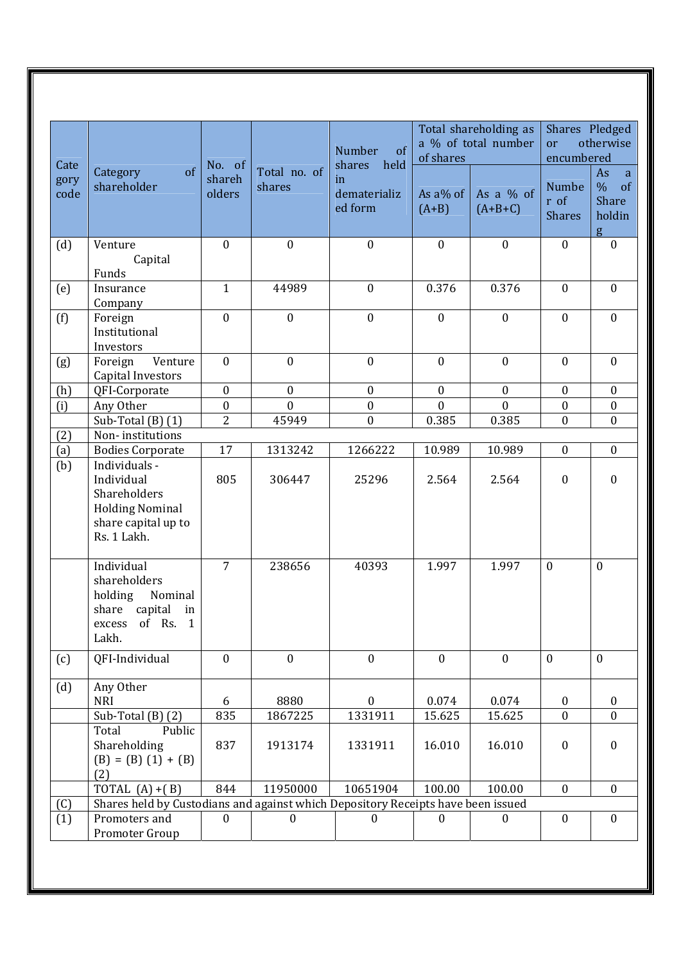| Cate         |                                                                                                             | No. of           |                        | $\sigma$<br>Number<br>shares<br>held | of shares           | Total shareholding as<br>a % of total number | Shares Pledged<br><sub>or</sub><br>encumbered | otherwise                                            |
|--------------|-------------------------------------------------------------------------------------------------------------|------------------|------------------------|--------------------------------------|---------------------|----------------------------------------------|-----------------------------------------------|------------------------------------------------------|
| gory<br>code | of<br>Category<br>shareholder                                                                               | shareh<br>olders | Total no. of<br>shares | in<br>dematerializ<br>ed form        | As a% of<br>$(A+B)$ | As a $%$ of<br>$(A+B+C)$                     | Numbe<br>r of<br><b>Shares</b>                | As<br>a<br>$\%$<br>of<br><b>Share</b><br>holdin<br>g |
| (d)          | Venture<br>Capital<br>Funds                                                                                 | $\boldsymbol{0}$ | $\boldsymbol{0}$       | $\boldsymbol{0}$                     | $\mathbf{0}$        | $\boldsymbol{0}$                             | $\boldsymbol{0}$                              | $\mathbf{0}$                                         |
| (e)          | Insurance<br>Company                                                                                        | $\mathbf{1}$     | 44989                  | $\boldsymbol{0}$                     | 0.376               | 0.376                                        | $\boldsymbol{0}$                              | $\mathbf{0}$                                         |
| (f)          | Foreign<br>Institutional<br>Investors                                                                       | $\mathbf{0}$     | $\mathbf{0}$           | $\boldsymbol{0}$                     | $\mathbf{0}$        | $\mathbf{0}$                                 | $\mathbf{0}$                                  | $\overline{0}$                                       |
| (g)          | Venture<br>Foreign<br>Capital Investors                                                                     | $\mathbf{0}$     | $\boldsymbol{0}$       | $\boldsymbol{0}$                     | $\mathbf{0}$        | $\mathbf{0}$                                 | $\mathbf{0}$                                  | $\mathbf{0}$                                         |
| (h)          | QFI-Corporate                                                                                               | $\boldsymbol{0}$ | $\boldsymbol{0}$       | $\boldsymbol{0}$                     | $\boldsymbol{0}$    | $\boldsymbol{0}$                             | $\boldsymbol{0}$                              | $\boldsymbol{0}$                                     |
| (i)          | Any Other                                                                                                   | $\boldsymbol{0}$ | $\mathbf{0}$           | $\boldsymbol{0}$                     | $\mathbf{0}$        | $\mathbf{0}$                                 | $\boldsymbol{0}$                              | $\boldsymbol{0}$                                     |
|              | Sub-Total $(B)$ $(1)$                                                                                       | $\overline{2}$   | 45949                  | $\boldsymbol{0}$                     | 0.385               | 0.385                                        | $\overline{0}$                                | $\overline{0}$                                       |
| (2)          | Non-institutions                                                                                            |                  |                        |                                      |                     |                                              |                                               |                                                      |
| (a)          | <b>Bodies Corporate</b>                                                                                     | 17               | 1313242                | 1266222                              | 10.989              | 10.989                                       | $\boldsymbol{0}$                              | $\boldsymbol{0}$                                     |
| (b)          | Individuals -<br>Individual<br>Shareholders<br><b>Holding Nominal</b><br>share capital up to<br>Rs. 1 Lakh. | 805              | 306447                 | 25296                                | 2.564               | 2.564                                        | $\boldsymbol{0}$                              | $\boldsymbol{0}$                                     |
|              | Individual<br>shareholders<br>holding<br>Nominal<br>share<br>capital<br>in<br>excess of Rs. 1<br>Lakh.      | $\overline{7}$   | 238656                 | 40393                                | 1.997               | 1.997                                        | $\mathbf{0}$                                  | $\mathbf{0}$                                         |
| (c)          | QFI-Individual                                                                                              | $\mathbf{0}$     | $\mathbf{0}$           | $\mathbf{0}$                         | $\mathbf{0}$        | $\mathbf{0}$                                 | $\mathbf{0}$                                  | $\mathbf{0}$                                         |
| (d)          | Any Other<br><b>NRI</b>                                                                                     | 6                | 8880                   | $\theta$                             | 0.074               | 0.074                                        | $\boldsymbol{0}$                              | $\bf{0}$                                             |
|              | Sub-Total $(B)$ $(2)$                                                                                       | 835              | 1867225                | 1331911                              | 15.625              | 15.625                                       | $\mathbf{0}$                                  | $\overline{0}$                                       |
|              | Public<br>Total<br>Shareholding<br>$(B) = (B) (1) + (B)$<br>(2)                                             | 837              | 1913174                | 1331911                              | 16.010              | 16.010                                       | $\boldsymbol{0}$                              | $\mathbf{0}$                                         |
|              | TOTAL $(A) + (B)$                                                                                           | 844              | 11950000               | 10651904                             | 100.00              | 100.00                                       | $\mathbf{0}$                                  | $\mathbf{0}$                                         |
| (C)          | Shares held by Custodians and against which Depository Receipts have been issued                            |                  |                        |                                      |                     |                                              |                                               |                                                      |
| (1)          | Promoters and<br>Promoter Group                                                                             | $\Omega$         | $\Omega$               | $\Omega$                             | $\Omega$            | $\Omega$                                     | $\overline{0}$                                | $\overline{0}$                                       |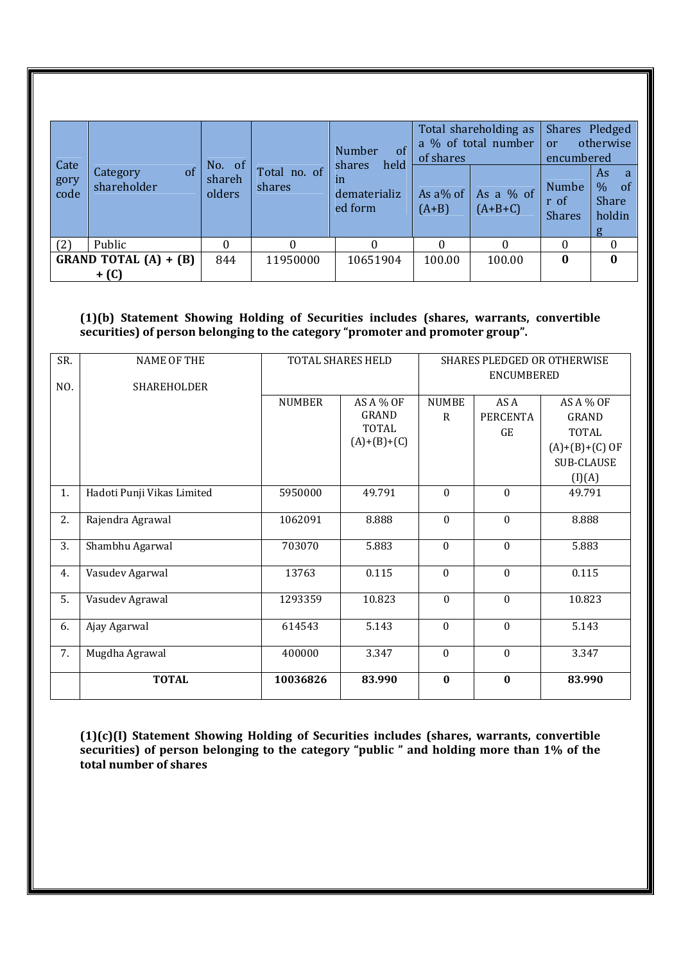| Cate         |                                          |                            |                        | Number<br>of                                                     |                        | Total shareholding as<br>a % of total number | Shares Pledged<br>otherwise<br><sub>or</sub><br>encumbered |                                                      |
|--------------|------------------------------------------|----------------------------|------------------------|------------------------------------------------------------------|------------------------|----------------------------------------------|------------------------------------------------------------|------------------------------------------------------|
| gory<br>code | <sub>of</sub><br>Category<br>shareholder | No. of<br>shareh<br>olders | Total no. of<br>shares | held<br><b>shares</b><br>$\mathbf{m}$<br>dematerializ<br>ed form | As $a\%$ of<br>$(A+B)$ | As a % of<br>$(A+B+C)$                       | <b>Numbe</b><br>r of<br><b>Shares</b>                      | As<br>a<br>$\%$<br>of<br><b>Share</b><br>holdin<br>g |
| (2)          | Public                                   | 0                          |                        |                                                                  |                        | 0                                            | 0                                                          | $\Omega$                                             |
|              | <b>GRAND TOTAL (A) + (B)</b>             | 844                        | 11950000               | 10651904                                                         | 100.00                 | 100.00                                       | $\bf{0}$                                                   | $\mathbf{0}$                                         |
|              | + (C)                                    |                            |                        |                                                                  |                        |                                              |                                                            |                                                      |

### **(1)(b) Statement Showing Holding of Securities includes (shares, warrants, convertible securities) of person belonging to the category "promoter and promoter group".**

| SR. | <b>NAME OF THE</b>         |               | TOTAL SHARES HELD                                          |                   | SHARES PLEDGED OR OTHERWISE   |                                                                                              |  |  |
|-----|----------------------------|---------------|------------------------------------------------------------|-------------------|-------------------------------|----------------------------------------------------------------------------------------------|--|--|
| NO. | SHAREHOLDER                |               |                                                            |                   | ENCUMBERED                    |                                                                                              |  |  |
|     |                            | <b>NUMBER</b> | AS A % OF<br><b>GRAND</b><br><b>TOTAL</b><br>$(A)+(B)+(C)$ | <b>NUMBE</b><br>R | AS A<br><b>PERCENTA</b><br>GE | AS A % OF<br><b>GRAND</b><br><b>TOTAL</b><br>$(A)+(B)+(C)$ OF<br><b>SUB-CLAUSE</b><br>(I)(A) |  |  |
| 1.  | Hadoti Punji Vikas Limited | 5950000       | 49.791                                                     | $\mathbf{0}$      | $\mathbf{0}$                  | 49.791                                                                                       |  |  |
| 2.  | Rajendra Agrawal           | 1062091       | 8.888                                                      | $\mathbf{0}$      | $\mathbf{0}$                  | 8.888                                                                                        |  |  |
| 3.  | Shambhu Agarwal            | 703070        | 5.883                                                      | $\mathbf{0}$      | $\mathbf{0}$                  | 5.883                                                                                        |  |  |
| 4.  | Vasudev Agarwal            | 13763         | 0.115                                                      | $\mathbf{0}$      | $\mathbf{0}$                  | 0.115                                                                                        |  |  |
| 5.  | Vasudev Agrawal            | 1293359       | 10.823                                                     | $\mathbf{0}$      | $\mathbf{0}$                  | 10.823                                                                                       |  |  |
| 6.  | Ajay Agarwal               | 614543        | 5.143                                                      | $\theta$          | $\mathbf{0}$                  | 5.143                                                                                        |  |  |
| 7.  | Mugdha Agrawal             | 400000        | 3.347                                                      | $\mathbf{0}$      | $\mathbf{0}$                  | 3.347                                                                                        |  |  |
|     | <b>TOTAL</b>               | 10036826      | 83.990                                                     | $\bf{0}$          | $\bf{0}$                      | 83.990                                                                                       |  |  |

**(1)(c)(I) Statement Showing Holding of Securities includes (shares, warrants, convertible securities) of person belonging to the category "public " and holding more than 1% of the total number of shares**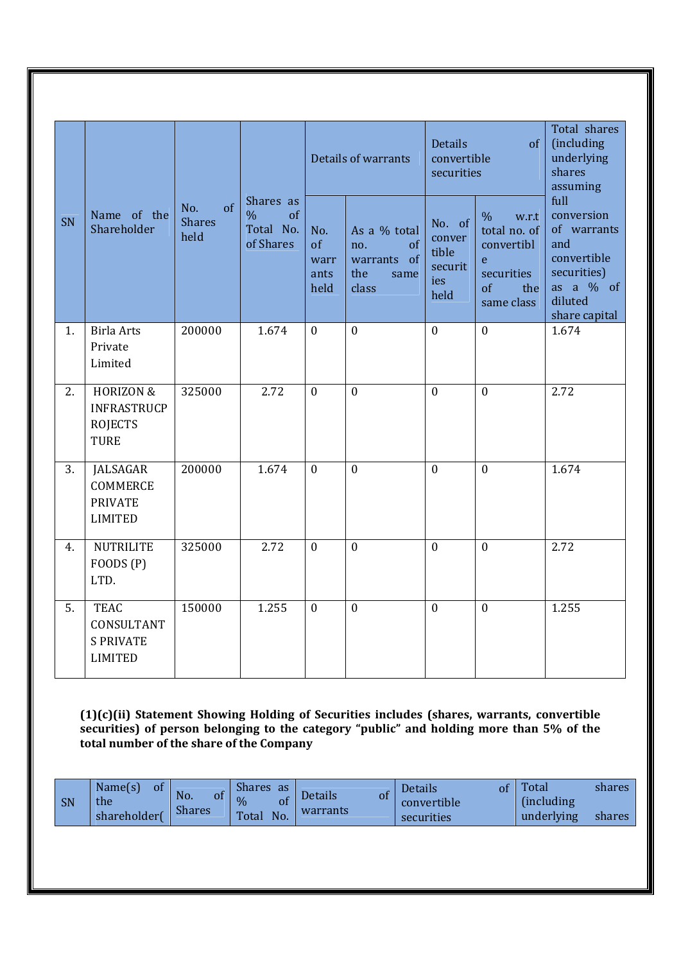|    |                                                                             |        |                                                                          |                  | Details of warrants                                              | <b>Details</b><br>convertible<br>securities         | of                                                                                                        | Total shares<br>(including<br>underlying<br>shares<br>assuming<br>full                                  |  |
|----|-----------------------------------------------------------------------------|--------|--------------------------------------------------------------------------|------------------|------------------------------------------------------------------|-----------------------------------------------------|-----------------------------------------------------------------------------------------------------------|---------------------------------------------------------------------------------------------------------|--|
| SN | No.<br>Name of the<br><b>Shares</b><br>Shareholder<br>held                  |        | Shares as<br>$\sigma$ f<br>$\frac{0}{0}$<br>of<br>Total No.<br>of Shares |                  | As a % total<br>of<br>no.<br>warrants of<br>the<br>same<br>class | No. of<br>conver<br>tible<br>securit<br>ies<br>held | $\frac{0}{0}$<br>w.r.t<br>total no. of<br>convertibl<br>e.<br>securities<br>$\sigma$<br>the<br>same class | conversion<br>of warrants<br>and<br>convertible<br>securities)<br>as a % of<br>diluted<br>share capital |  |
| 1. | <b>Birla Arts</b><br>Private<br>Limited                                     | 200000 | 1.674                                                                    | $\overline{0}$   | $\overline{0}$                                                   | $\overline{0}$                                      | $\overline{0}$                                                                                            | 1.674                                                                                                   |  |
| 2. | <b>HORIZON &amp;</b><br><b>INFRASTRUCP</b><br><b>ROJECTS</b><br><b>TURE</b> | 325000 | 2.72                                                                     | $\mathbf{0}$     | $\mathbf{0}$                                                     | $\theta$                                            | $\mathbf{0}$                                                                                              | 2.72                                                                                                    |  |
| 3. | JALSAGAR<br><b>COMMERCE</b><br><b>PRIVATE</b><br><b>LIMITED</b>             | 200000 | 1.674                                                                    | $\boldsymbol{0}$ | $\boldsymbol{0}$                                                 | $\mathbf{0}$                                        | $\boldsymbol{0}$                                                                                          | 1.674                                                                                                   |  |
| 4. | <b>NUTRILITE</b><br>FOODS(P)<br>LTD.                                        | 325000 | 2.72                                                                     | $\boldsymbol{0}$ | $\mathbf{0}$                                                     | $\mathbf{0}$                                        | $\mathbf{0}$                                                                                              | 2.72                                                                                                    |  |
| 5. | <b>TEAC</b><br>CONSULTANT<br><b>S PRIVATE</b><br><b>LIMITED</b>             | 150000 | 1.255                                                                    | $\mathbf{0}$     | $\mathbf{0}$                                                     | $\mathbf{0}$                                        | $\mathbf{0}$                                                                                              | 1.255                                                                                                   |  |

**(1)(c)(ii) Statement Showing Holding of Securities includes (shares, warrants, convertible securities) of person belonging to the category "public" and holding more than 5% of the total number of the share of the Company**

| <b>SN</b> | Name(s)<br><b>of</b><br>the<br>shareholder( | No.<br>Οt<br><b>Shares</b> | <b>Shares</b><br>as<br>$\frac{0}{6}$<br>Total<br>No. | Details<br>Οİ<br>warrants | <sup>of</sup><br>Details<br>convertible<br>securities | Total<br><i>(including)</i><br>underlying | shares<br>shares |
|-----------|---------------------------------------------|----------------------------|------------------------------------------------------|---------------------------|-------------------------------------------------------|-------------------------------------------|------------------|
|-----------|---------------------------------------------|----------------------------|------------------------------------------------------|---------------------------|-------------------------------------------------------|-------------------------------------------|------------------|